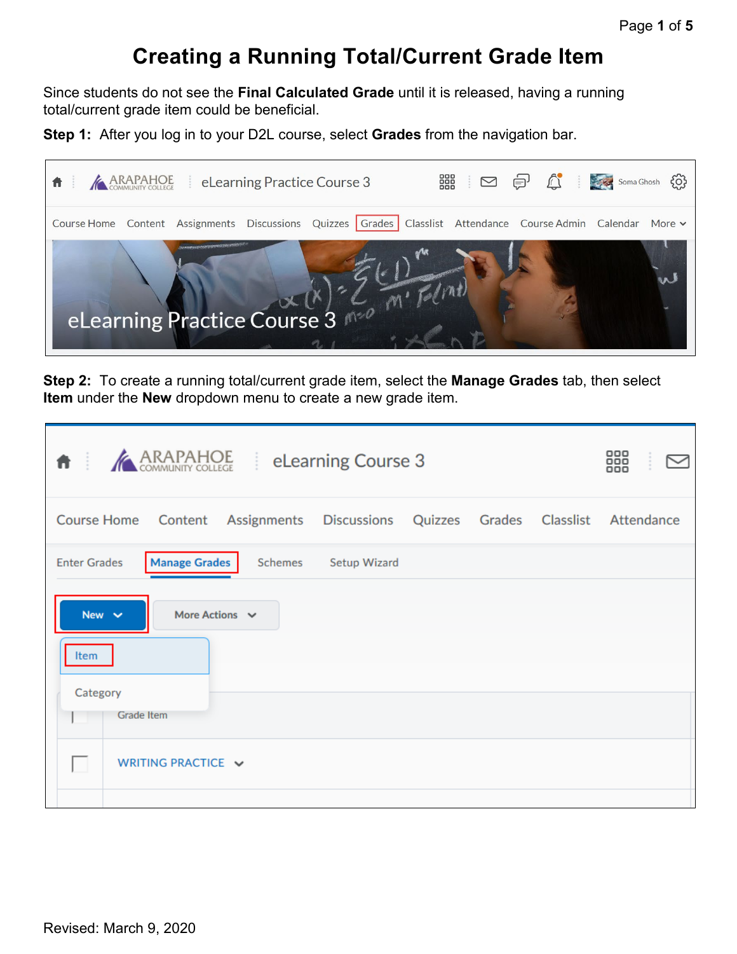## **Creating a Running Total/Current Grade Item**

Since students do not see the **Final Calculated Grade** until it is released, having a running total/current grade item could be beneficial.

**Step 1:** After you log in to your D2L course, select **Grades** from the navigation bar.



**Step 2:** To create a running total/current grade item, select the **Manage Grades** tab, then select **Item** under the **New** dropdown menu to create a new grade item.

| <b>ARAPAHOE</b><br>青三                                                                            | eLearning Course 3 |  | 888 |
|--------------------------------------------------------------------------------------------------|--------------------|--|-----|
| Course Home Content Assignments Discussions Quizzes Grades Classlist Attendance                  |                    |  |     |
| <b>Manage Grades</b><br><b>Enter Grades</b><br>Schemes                                           | Setup Wizard       |  |     |
| New $\sim$<br>More Actions $\sim$<br>Item<br>Category<br><b>Grade Item</b><br>WRITING PRACTICE V |                    |  |     |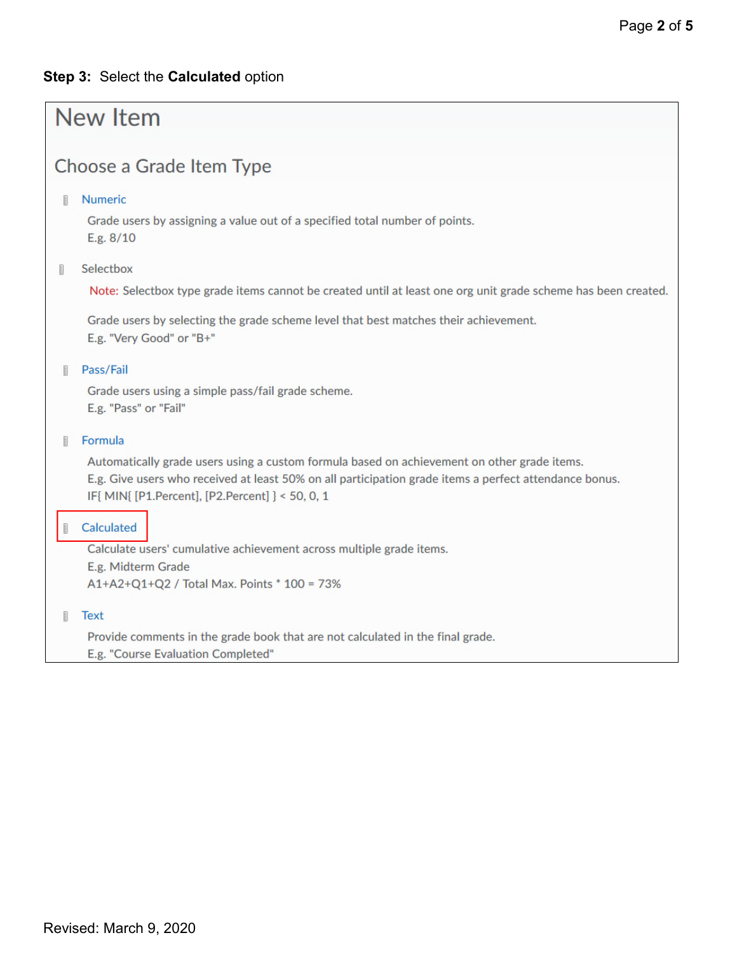## **Step 3:** Select the **Calculated** option

| New Item                                                                                                                                                                                                                                                                  |  |  |  |  |  |
|---------------------------------------------------------------------------------------------------------------------------------------------------------------------------------------------------------------------------------------------------------------------------|--|--|--|--|--|
| Choose a Grade Item Type                                                                                                                                                                                                                                                  |  |  |  |  |  |
| <b>Numeric</b><br>Ħ<br>Grade users by assigning a value out of a specified total number of points.<br>E.g. 8/10                                                                                                                                                           |  |  |  |  |  |
| Selectbox<br>È.<br>Note: Selectbox type grade items cannot be created until at least one org unit grade scheme has been created.<br>Grade users by selecting the grade scheme level that best matches their achievement.<br>E.g. "Very Good" or "B+"                      |  |  |  |  |  |
| Pass/Fail<br>n<br>Grade users using a simple pass/fail grade scheme.<br>E.g. "Pass" or "Fail"                                                                                                                                                                             |  |  |  |  |  |
| Formula<br>剈<br>Automatically grade users using a custom formula based on achievement on other grade items.<br>E.g. Give users who received at least 50% on all participation grade items a perfect attendance bonus.<br>IF{ MIN{ [P1.Percent], [P2.Percent] } < 50, 0, 1 |  |  |  |  |  |
| Calculated<br>Calculate users' cumulative achievement across multiple grade items.<br>E.g. Midterm Grade<br>A1+A2+Q1+Q2 / Total Max. Points * 100 = 73%                                                                                                                   |  |  |  |  |  |
| <b>Text</b><br>Ħ<br>Provide comments in the grade book that are not calculated in the final grade.<br>E.g. "Course Evaluation Completed"                                                                                                                                  |  |  |  |  |  |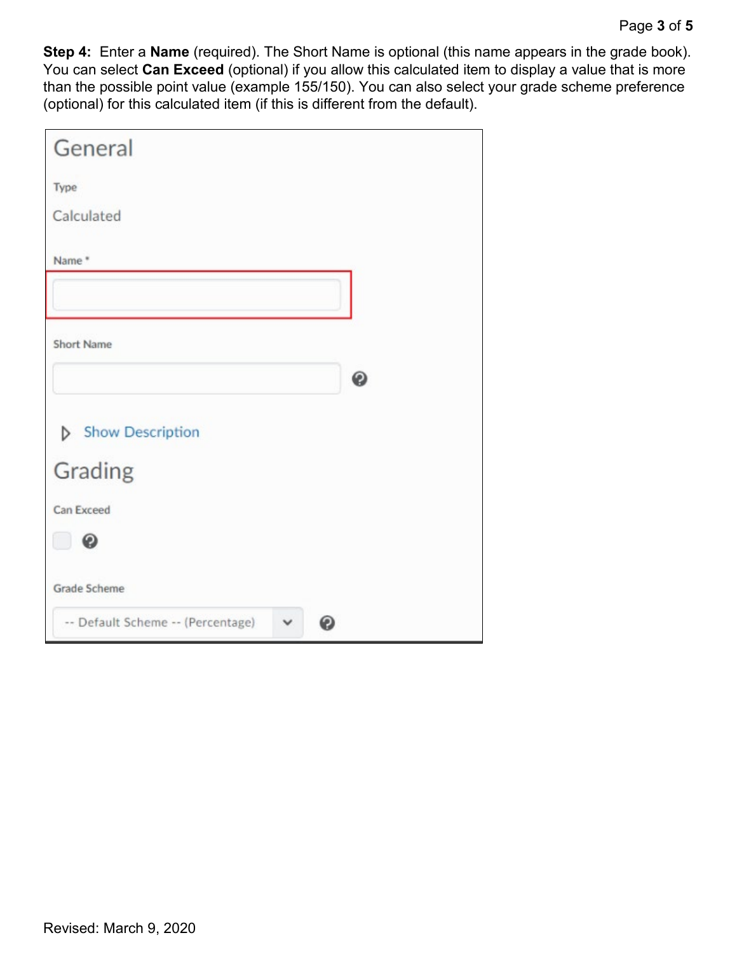**Step 4:** Enter a **Name** (required). The Short Name is optional (this name appears in the grade book). You can select **Can Exceed** (optional) if you allow this calculated item to display a value that is more than the possible point value (example 155/150). You can also select your grade scheme preference (optional) for this calculated item (if this is different from the default).

| General                           |              |   |
|-----------------------------------|--------------|---|
| Type                              |              |   |
| Calculated                        |              |   |
| Name*                             |              |   |
|                                   |              |   |
| <b>Short Name</b>                 |              |   |
|                                   |              | ◉ |
| Show Description                  |              |   |
| Grading                           |              |   |
| Can Exceed                        |              |   |
| ◉                                 |              |   |
| <b>Grade Scheme</b>               |              |   |
| -- Default Scheme -- (Percentage) | $\checkmark$ | Θ |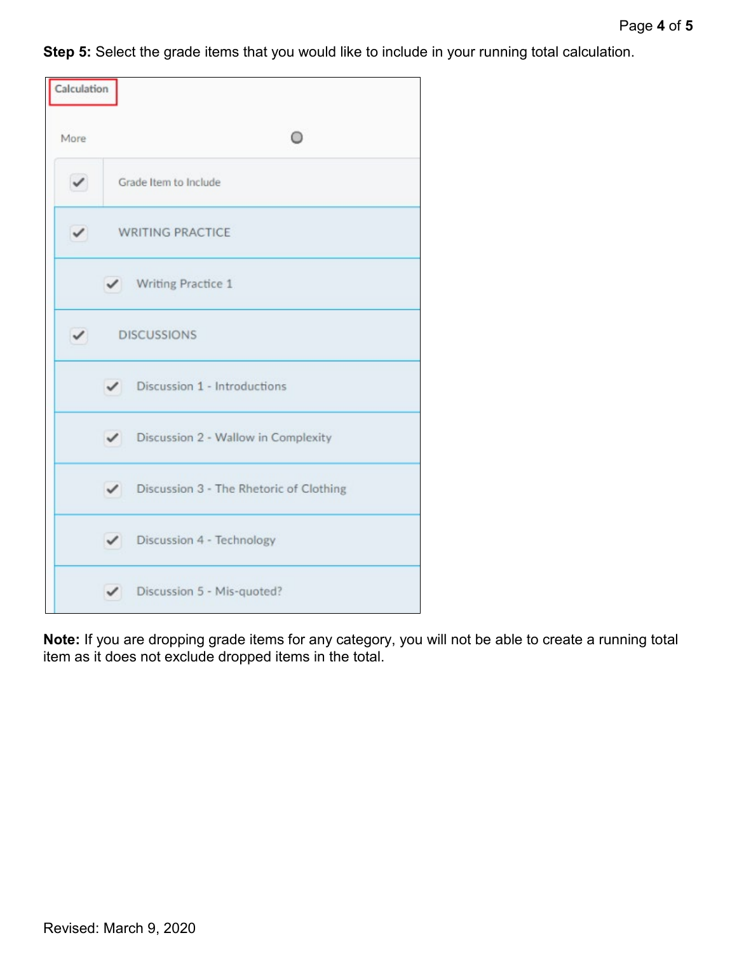**Step 5:** Select the grade items that you would like to include in your running total calculation.

| Calculation  |                                           |
|--------------|-------------------------------------------|
| More         |                                           |
| $\checkmark$ | Grade Item to Include                     |
| $\checkmark$ | <b>WRITING PRACTICE</b>                   |
|              | V Writing Practice 1                      |
| $\checkmark$ | <b>DISCUSSIONS</b>                        |
|              | $\checkmark$ Discussion 1 - Introductions |
|              | Discussion 2 - Wallow in Complexity       |
|              | Discussion 3 - The Rhetoric of Clothing   |
|              | Discussion 4 - Technology                 |
|              | Discussion 5 - Mis-quoted?                |

**Note:** If you are dropping grade items for any category, you will not be able to create a running total item as it does not exclude dropped items in the total.